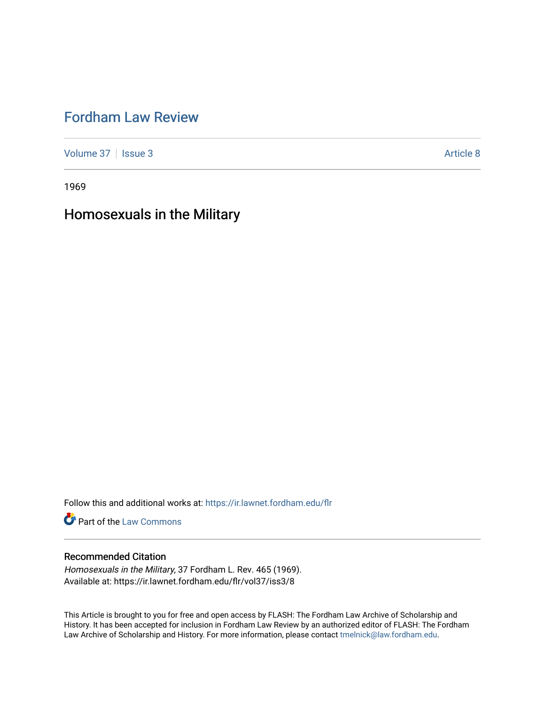# [Fordham Law Review](https://ir.lawnet.fordham.edu/flr)

[Volume 37](https://ir.lawnet.fordham.edu/flr/vol37) | [Issue 3](https://ir.lawnet.fordham.edu/flr/vol37/iss3) Article 8

1969

# Homosexuals in the Military

Follow this and additional works at: [https://ir.lawnet.fordham.edu/flr](https://ir.lawnet.fordham.edu/flr?utm_source=ir.lawnet.fordham.edu%2Fflr%2Fvol37%2Fiss3%2F8&utm_medium=PDF&utm_campaign=PDFCoverPages)

**Part of the [Law Commons](http://network.bepress.com/hgg/discipline/578?utm_source=ir.lawnet.fordham.edu%2Fflr%2Fvol37%2Fiss3%2F8&utm_medium=PDF&utm_campaign=PDFCoverPages)** 

# Recommended Citation

Homosexuals in the Military, 37 Fordham L. Rev. 465 (1969). Available at: https://ir.lawnet.fordham.edu/flr/vol37/iss3/8

This Article is brought to you for free and open access by FLASH: The Fordham Law Archive of Scholarship and History. It has been accepted for inclusion in Fordham Law Review by an authorized editor of FLASH: The Fordham Law Archive of Scholarship and History. For more information, please contact [tmelnick@law.fordham.edu](mailto:tmelnick@law.fordham.edu).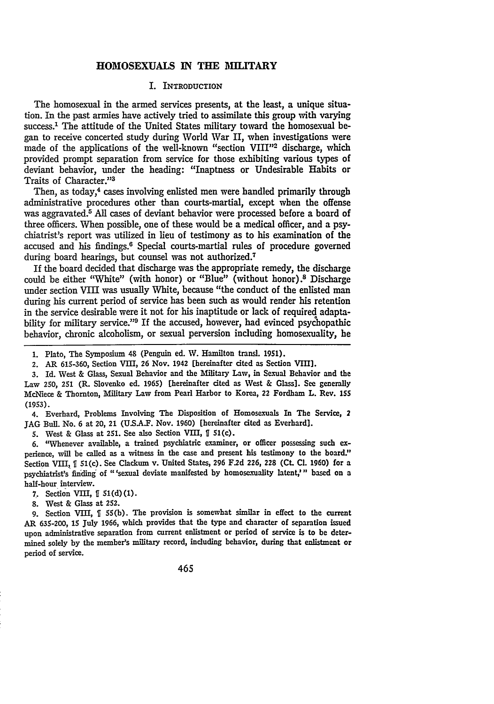## **HOMOSEXUALS IN THE MILITARY**

#### I. INTRODUCTION

The homosexual in the armed services presents, at the least, a unique situation. In the past armies have actively tried to assimilate this group with varying success.<sup>1</sup> The attitude of the United States military toward the homosexual began to receive concerted study during World War II, when investigations were made of the applications of the well-known "section **VIII"2** discharge, which provided prompt separation from service for those exhibiting various types of deviant behavior, under the heading: "Inaptness or Undesirable Habits or Traits of Character."<sup>3</sup>

Then, as today,<sup>4</sup> cases involving enlisted men were handled primarily through administrative procedures other than courts-martial, except when the offense was aggravated.<sup>5</sup> All cases of deviant behavior were processed before a board of three officers. When possible, one of these would be a medical officer, and a psychiatrist's report was utilized in lieu of testimony as to his examination of the accused and his findings. 6 Special courts-martial rules of procedure governed during board hearings, but counsel was not authorized.<sup>7</sup>

If the board decided that discharge was the appropriate remedy, the discharge could be either "White" (with honor) or "Blue" (without honor).<sup>8</sup> Discharge under section VIII was usually White, because "the conduct of the enlisted man during his current period of service has been such as would render his retention in the service desirable were it not for his inaptitude or lack of required adaptability for military service."<sup>9</sup> If the accused, however, had evinced psychopathic behavior, chronic alcoholism, or sexual perversion including homosexuality, he

**1.** Plato, The Symposium 48 (Penguin ed. W. Hamilton transl. **1951).**

2. AR **615-360,** Section VIII, **26** Nov. 1942 [hereinafter cited as Section VIII].

**3.** Id. West **&** Glass, Sexual Behavior and the Military Law, in Sexual Behavior and the Law 250, 251 (R. Slovenko ed. 1965) [hereinafter cited as West **&** Glass]. See generally McNiece **&** Thornton, Military Law from Pearl Harbor to Korea, 22 Fordham **L.** Rev. **155 (1953).**

4. Everhard, Problems Involving The Disposition of Homosexuals In The Service, 2 **JAG** Bull. No. **6** at 20, 21 **(U.SA.F.** Nov. **1960)** [hereinafter cited as Everhard].

**5.** West & Glass at 251. See also Section VIII, **fI** 51(c).

**6.** "Whenever available, a trained psychiatric examiner, or officer possessing such experience, will be called as a witness in the case and present his testimony to the board." Section **VIII,** U 51(c). See Clackum v. United States, **296 F.2d 226, 228 (Ct. Cl. 1960)** for a psychiatrist's finding' of "'sexual deviate manifested **by** homosexuality latent," based on a half-hour interview.

**7.** Section VII, U **51(d)(1).**

**8.** West & Glass at 252.

**9.** Section VIII, U 55(b). The provision is somewhat similar in effect to the current AR **635-200, 15** July **1966,** which provides that the type and character of separation issued upon administrative separation from current enlistment or period of service is to be determined solely **by** the member's military record, including behavior, during that enlistment or period of service.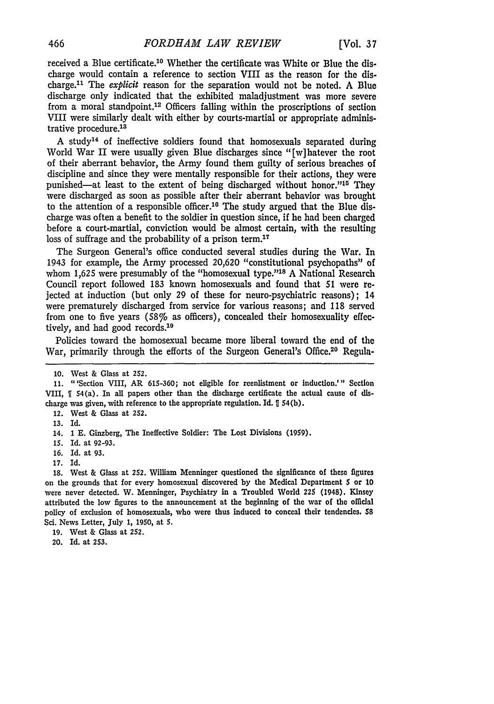received a Blue certificate. 10 Whether the certificate was White or Blue the discharge would contain a reference to section VIII as the reason for the discharge.<sup>11</sup> The *explicit* reason for the separation would not be noted. A Blue discharge only indicated that the exhibited maladjustment was more severe from a moral standpoint.<sup>12</sup> Officers falling within the proscriptions of section VIII were similarly dealt with either by courts-martial or appropriate administrative procedure.<sup>13</sup>

A study14 of ineffective soldiers found that homosexuals separated during World War II were usually given Blue discharges since "[w]hatever the root of their aberrant behavior, the Army found them guilty of serious breaches of discipline and since they were mentally responsible for their actions, they were punished—at least to the extent of being discharged without honor."<sup>16</sup> They were discharged as soon as possible after their aberrant behavior was brought to the attention of a responsible officer.<sup>16</sup> The study argued that the Blue discharge was often a benefit to the soldier in question since, if he had been charged before a court-martial, conviction would be almost certain, with the resulting loss of suffrage and the probability of a prison term.<sup>17</sup>

The Surgeon General's office conducted several studies during the War. In 1943 for example, the Army processed 20,620 "constitutional psychopaths" of whom 1,625 were presumably of the "homosexual type."<sup>18</sup> A National Research Council report followed 183 known homosexuals and found that 51 were rejected at induction (but only 29 of these for neuro-psychiatric reasons); 14 were prematurely discharged from service for various reasons; and 118 served from one to five years (58% as officers), concealed their homosexuality effectively, and had good records.<sup>19</sup>

Policies toward the homosexual became more liberal toward the end of the War, primarily through the efforts of the Surgeon General's Office.<sup>20</sup> Regula-

**13.** Id.

**18.** West & Glass at 252. William Menninger questioned the significance of these figures on the grounds that for every homosexual discovered **by** the Medical Department 5 or **10** were never detected. W. Menninger, Psychiatry in a Troubled World 225 (1948). Kinsey attributed the low figures to the announcement at the beginning of the war of the official policy of exclusion of homosexuals, who were thus induced to conceal their tendencies. 58 Sci. News Letter, July **1, 1950,** at **5.**

20. Id. at **253.**

<sup>10.</sup> West & Glass at 252.

**<sup>11.</sup>** "'Section VIII, AR 615-360; not eligible for reenlistment or induction.'" Section VIII, **ff** 54(a). In all papers other than the discharge certificate the actual cause of discharge was given, with reference to the appropriate regulation. Id.  $\llbracket$  54(b).

<sup>12.</sup> West & Glass at 252.

<sup>14.</sup> **1** E. Ginzberg, The Ineffective Soldier: The Lost Divisions (1959).

<sup>15.</sup> Id. at 92-93.

**<sup>16.</sup>** Id. at **93.**

**<sup>17.</sup>** Id.

**<sup>19.</sup>** West & Glass at 252.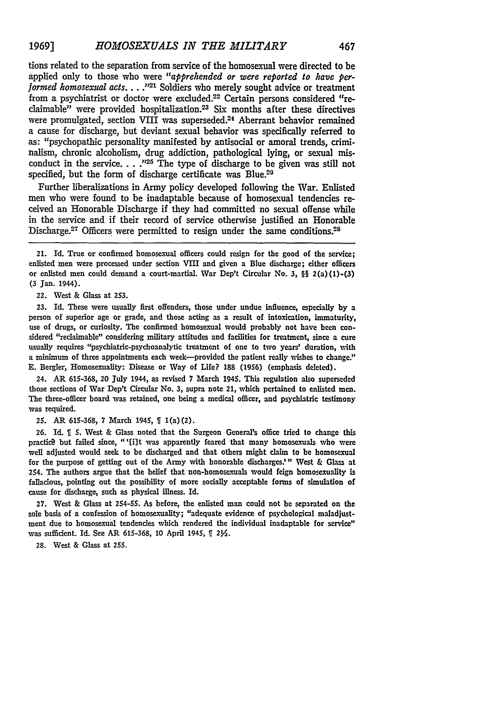tions related to the separation from service of the homosexual were directed to be applied only to those who were *"apprehended or were reported to have performed homosexual acts....*<sup>221</sup> Soldiers who merely sought advice or treatment from a psychiatrist or doctor were excluded.<sup>22</sup> Certain persons considered "reclaimable" were provided hospitalization.<sup>23</sup> Six months after these directives were promulgated, section VIII was superseded.<sup>24</sup> Aberrant behavior remained a cause for discharge, but deviant sexual behavior was specifically referred to as: "psychopathic personality manifested by antisocial or amoral trends, criminalism, chronic alcoholism, drug addiction, pathological lying, or sexual misconduct in the service. . . .<sup>225</sup> The type of discharge to be given was still not specified, but the form of discharge certificate was Blue.<sup>20</sup>

Further liberalizations in Army policy developed following the War. Enlisted men who were found to be inadaptable because of homosexual tendencies received an Honorable Discharge if they had committed no sexual offense while in the service and if their record of service otherwise justified an Honorable Discharge.<sup>27</sup> Officers were permitted to resign under the same conditions.<sup>28</sup>

21. Id. True or confirmed homosexual officers could resign for the good of the service; enlisted men were processed under section VIII and given a Blue discharge; either officers or enlisted men could demand a court-martial. War Dep't Circular No. **3,** §§ 2(a)(I)-(3) **(3** Jan. 1944).

22. West & Glass at **253.**

**23.** Id. These were usually first offenders, those under undue influence, especially **by** a person of superior age or grade, and those acting as a result of intoxication, immaturity, use of drugs, or curiosity. The confirmed homosexual would probably not have been considered "reclaimable" considering military attitudes and facilities for treatment, since a cure usually requires "psychiatric-psychoanalytic treatment of one to two years' duration, with a minimum of three appointments each week-provided the patient really wishes to change." **E.** Bergler, Homosexuality: Disease or Way of Life? **188 (1956)** (emphasis deleted).

24. AR **615-368,** 20 July 1944, as revised 7 March 1945. This regulation also superseded those sections of War Dep't Circular No. **3,** supra note 21, which pertained to enlisted men. The three-officer board was retained, one being a medical officer, and psychiatric testimony was required.

25. AR 615-368, 7 March 1945,  $[1(a)(2)$ .

**26.** Id. **% 5.** West **&** Glass noted that the Surgeon General's office tried to change this practice but failed since, "'[i]t was apparently feared that many homosexuals who were well adjusted would seek to be discharged and that others might claim to be homosexual for the purpose of getting out of the Army with honorable discharges." West & Glass at 254. The authors argue that the belief that non-homosexuals would feign homosexuality is fallacious, pointing out the possibility of more socially acceptable forms of simulation of cause for discharge, such as physical illness. Id.

**27.** West **&** Glass at 254-55. As before, the enlisted man could not **be** separated on the sole basis of a confession of homosexuality; "adequate evidence of psychological maladjustment due to homosexual tendencies which rendered the individual inadaptable for service" was sufficient. Id. See AR **615-368, 10** April 1945, *2Y.*

28. West & Glass at 255.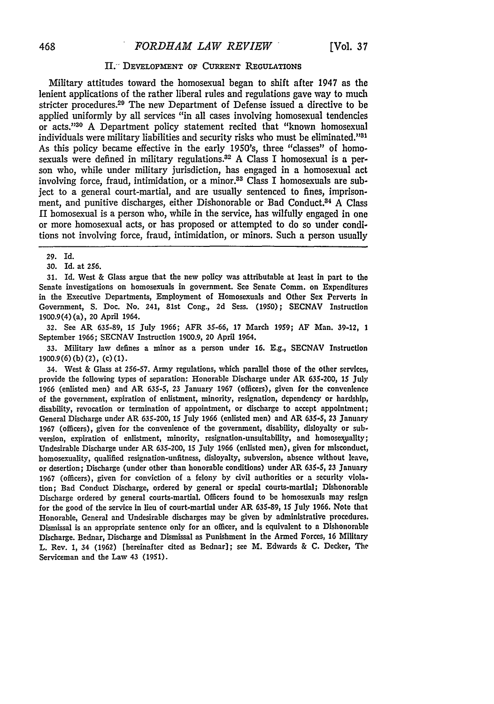#### H.<sup>"</sup> DEVELOPMENT OF CURRENT REGULATIONS

Military attitudes toward the homosexual began to shift after 1947 as the lenient applications of the rather liberal rules and regulations gave way to much stricter procedures.<sup>29</sup> The new Department of Defense issued a directive to be applied uniformly by all services "in all cases involving homosexual tendencies or acts."130 A Department policy statement recited that "known homosexual individuals were military liabilities and security risks who must be eliminated."<sup>31</sup> As this policy became effective in the early 1950's, three "classes" of homosexuals were defined in military regulations.<sup>32</sup> A Class I homosexual is a person who, while under military jurisdiction, has engaged in a homosexual act involving force, fraud, intimidation, or a minor.<sup>33</sup> Class I homosexuals are subject to a general court-martial, and are usually sentenced to fines, imprisonment, and punitive discharges, either Dishonorable or Bad Conduct.<sup>34</sup> A Class II homosexual is a person who, while in the service, has wilfully engaged in one or more homosexual acts, or has proposed or attempted to do so under conditions not involving force, fraud, intimidation, or minors. Such a person usually

**31.** Id. West & Glass argue that the new policy was attributable at least in part to the Senate investigations on homosexuals in government. See Senate Comm. on Expenditures in the Executive Departments, Employment of Homosexuals and Other Sex Perverts in Government, S. Doc. No. 241, 81st Cong., 2d Sess. (1950); SECNAV Instruction 1900.9(4) (a), 20 April 1964.

32. See AR 635-89, 15 July 1966; AFR 35-66, 17 March 1959; AF Man. 39-12, 1 September 1966; SECNAV Instruction 1900.9, 20 April 1964.

33. Military law defines a minor as a person under 16. **E.g.,** SECNAV Instruction 1900.9(6) **(b)** (2), **(c) (1).**

34. West & Glass at 256-57. Army regulations, which parallel those of the other services, provide the following types of separation: Honorable Discharge under AR 635-200, 15 July 1966 (enlisted men) and AR 635-5, 23 January 1967 (officers), given for the convenience of the government, expiration of enlistment, minority, resignation, dependency or hardship, disability, revocation or termination of appointment, or discharge to accept appointment; General Discharge under AR 635-200, **15** July 1966 (enlisted men) and AR 635-5, **23** January 1967 (officers), given for the convenience of the government, disability, disloyalty or subversion, expiration of enlistment, minority, resignation-unsuitability, and homosexuality; Undesirable Discharge under AR 635-200, 15 July 1966 (enlisted men), given for misconduct, homosexuality, qualified resignation-unfitness, disloyalty, subversion, absence without leave, or desertion; Discharge (under other than honorable conditions) under AR **635-5, 23** January 1967 (officers), given for conviction of a felony **by** civil authorities or a security violation; Bad Conduct Discharge, ordered **by** general or special courts-martial; Dishonorable Discharge ordered **by** general courts-martial. Officers found to be homosexuals may resign for the good of the service in lieu of court-martial under AR **635-89,** 15 July **1966.** Note that Honorable, General and Undesirable discharges may be given by administrative procedures. Dismissal is an appropriate sentence only for an officer, and is equivalent to a Dishonorable Discharge. Bednar, Discharge and Dismissal as Punishment in the Armed Forces, 16 Military L. Rev. 1, 34 (1962) (hereinafter cited as Bednar]; see M. Edwards & **C.** Decker, The Serviceman and the Law 43 (1951).

**<sup>29.</sup>** Id.

<sup>30.</sup> Id. at 256.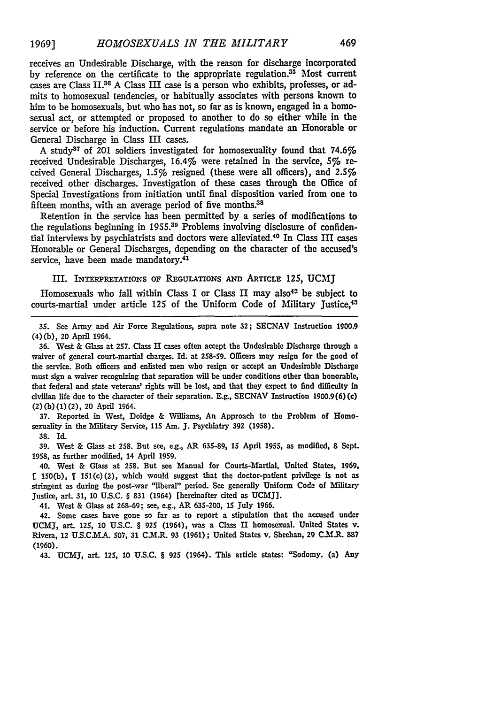receives an Undesirable Discharge, with the reason for discharge incorporated by reference on the certificate to the appropriate regulation. $35$  Most current cases are Class II.<sup>36</sup> A Class III case is a person who exhibits, professes, or admits to homosexual tendencies, or habitually associates with persons known to him to be homosexuals, but who has not, so far as is known, engaged in a homosexual act, or attempted or proposed to another to do so either while in the service or before his induction. Current regulations mandate an Honorable or General Discharge in Class III cases.

A study<sup>37</sup> of 201 soldiers investigated for homosexuality found that  $74.6\%$ received Undesirable Discharges, 16.4% were retained in the service, 5% received General Discharges, 1.5% resigned (these were all officers), and 2.5%6 received other discharges. Investigation of these cases through the Office of Special Investigations from initiation until final disposition varied from one to fifteen months, with an average period of five months.<sup>38</sup>

Retention in the service has been permitted by a series of modifications to the regulations beginning in 1955.39 Problems involving disclosure of confidential interviews by psychiatrists and doctors were alleviated.40 In Class III cases Honorable or General Discharges, depending on the character of the accused's service, have been made mandatory.<sup>41</sup>

### III. INTERPRETATIONS OF REGULATIONS AND ARTICLE 125, UCMJ

Homosexuals who fall within Class I or Class II may also<sup>42</sup> be subject to courts-martial under article 125 of the Uniform Code of Military Justice,<sup>43</sup>

**35. See Army and Air Force Regulations, supra note 32; SECNAV** Instruction **1900.9 (4) (b), 20** April 1964.

**36.** West **&** Glass at 257. Class **H** cases often accept the Undesirable Discharge through a waiver of general court-martial charges. Id. at 258-59. Officers may resign for the good of the service. Both officers and enlisted men who resign or accept an Undesirable Discharge must sign a waiver recognizing that separation will be under conditions other than honorable, that federal and state veterans' rights will be lost, and that they expect to find difficulty in civilian life due to the character of their separation. E.g., SECNAV Instruction **1900.9(6)** (c) (2) **(b) (1)** (2), 20 April 1964.

**37.** Reported in **West,** Doidge & Wiliams, An Approach to the Problem of Homosexuality in the Military Service, 115 Am. J. Psychiatry **392** (1958).

**38.** Id.

**39.** West **&** Glass **at 258. But see, e.g.,** AR **635-89, 15** April 1955, as modified, **8** Sept. **1958,** as further modified, 14 April 1959.

40. West & Glass at 258. But see Manual for Courts-Martial, United States, **1969, 9** 150(b), *J* 151(c)(2), which would suggest that the doctor-patient privilege is not as stringent as during the post-war "liberal" period. See generally Uniform Code of Military Justice, art. **31,** 10 **U.S.C.** § **831** (1964) [hereinafter cited as **UCMJ].**

41. West & Glass at 268-69; see, e.g., AR 635-200, 15 July **1966.**

42. Some cases have gone so far as to report a stipulation that the accused under **UCMJ,** art. 125, 10 **U.S.C.** § 925 (1964), was a Class II homosexual. **United** States **v.** Rivera, 12 **U.S.C.T.A.** 507, 31 C.M.R. **93** (1961); United States v. Sheehan, **29** C.M.R. **887 (1960).**

43. **UCMJ,** art. 125, **10 U.S.C.** § **925** (1964). **This** article **states:** "Sodomy. (a) **Any**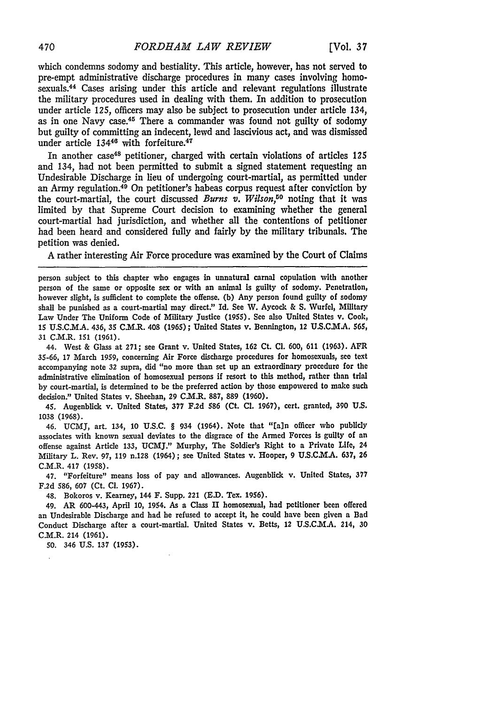which condemns sodomy and bestiality. This article, however, has not served to pre-empt administrative discharge procedures in many cases involving homosexuals.44 Cases arising under this article and relevant regulations illustrate the military procedures used in dealing with them. In addition to prosecution under article 125, officers may also be subject to prosecution under article 134, as in one Navy case.<sup>45</sup> There a commander was found not guilty of sodomy but guilty of committing an indecent, lewd and lascivious act, and was dismissed under article 134<sup>46</sup> with forfeiture.<sup>47</sup>

In another case<sup>48</sup> petitioner, charged with certain violations of articles 125 and 134, had not been permitted to submit a signed statement requesting an Undesirable Discharge in lieu of undergoing court-martial, as permitted under an Army regulation.<sup>49</sup> On petitioner's habeas corpus request after conviction by the court-martial, the court discussed *Burns v. Wilson,"0* noting that it was limited by that Supreme Court decision to examining whether the general court-martial had jurisdiction, and whether all the contentions of petitioner had been heard and considered fully and fairly by the military tribunals. The petition was denied.

A rather interesting Air Force procedure was examined by the Court of Claims

person subject to this chapter who engages in unnatural carnal copulation with another person of the same or opposite sex or with an animal is guilty of sodomy. Penetration, however slight, is sufficient to complete the offense. (b) Any person found guilty of sodomy shall be punished as a court-martial may direct." Id. See W. Aycock & **S.** Wurfel, Military Law Under The Uniform Code of Military Justice (1955). **See** also United States v. Cook, 15 U.S.CM.A. 436, **35** C.M.R. 408 **(1965);** United States v. Bennington, 12 **U.S.C.M.A. 565,** 31 CM.R. **151** (1961).

44. West & Glass at **271;** see Grant v. United States, 162 Ct. **Cl.** 600, **611 (1963).** AFR 35-66, 17 March 1959, concerning Air Force discharge procedures for homosexuals, see text accompanying note **32** supra, did "no more than set up an extraordinary procedure for the administrative elimination of homosexual persons if resort to this method, rather than trial by court-martial, is determined to be the preferred action **by** those empowered to make such decision." United States v. Sheehan, **29** C.M.R. 887, **889 (1960).**

45. Augenbick v. United States, **377** F.2d **586** (Ct. **Cl. 1967),** cert. granted, **390** U.S. 1038 (1968).

46. **UCMJ,** art. 134, **10 U.S.C.** § 934 (1964). Note that "Eain officer who publicly associates with known sexual deviates to the disgrace of the Armed Forces is guilty of an offense against Article 133, UCMJ." Murphy, The Soldier's Right to a Private **Life,** 24 Military L. Rev. **97,** 119 n.128 (1964); see United States v. Hooper, 9 **U.S.C.M..** 637, 26 C.M.R. 417 (1958).

47. "Forfeiture" means loss of pay and allowances. Augenblick v. United States, 377 F.2d 586, 607 (Ct. **C1.** 1967).

48. Bokoros v. Kearney, 144 F. Supp. 221 (ED. Tex. 1956).

49. AR 600-443, April **10,** 1954. As a Class II homosexual, had petitioner been offered an Undesirable Discharge and had he refused to accept it, he could have been given a Bad Conduct Discharge after a court-martial. United States v. Betts, 12 U.S.C.M.A. 214, 30 C.M.R. 214 (1961).

50. 346 U.S. 137 (1953).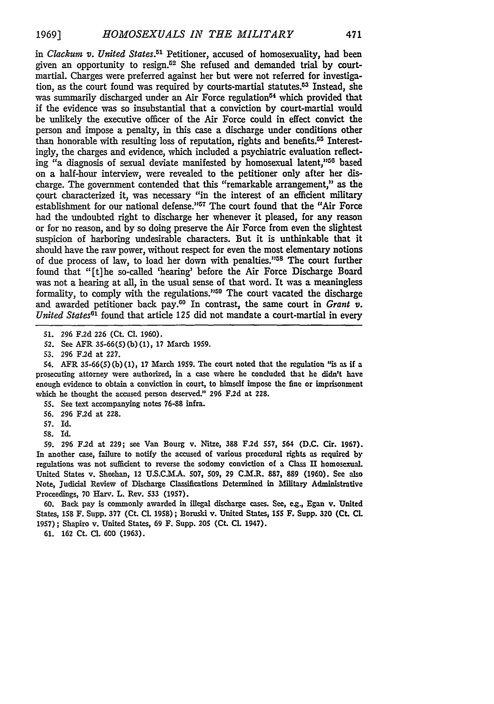*in Clackunt v. United States.51* Petitioner, accused of homosexuality, had been given an opportunity to resign.<sup>52</sup> She refused and demanded trial by courtmartial. Charges were preferred against her but were not referred for investigation, as the court found was required by courts-martial statutes. $5<sup>3</sup>$  Instead, she was summarily discharged under an Air Force regulation<sup>54</sup> which provided that if the evidence was so insubstantial that a conviction by court-martial would be unlikely the executive officer of the Air Force could in effect convict the person and impose a penalty, in this case a discharge under conditions other than honorable with resulting loss of reputation, rights and benefits.<sup>55</sup> Interestingly, the charges and evidence, which included a psychiatric evaluation reflecting "a diagnosis of sexual deviate manifested by homosexual latent,"50 3 based on a half-hour interview, were revealed to the petitioner only after her discharge. The government contended that this "remarkable arrangement," as the court characterized it, was necessary "in the interest of an efficient military establishment for our national defense."<sup>57</sup> The court found that the "Air Force had the undoubted right to discharge her whenever it pleased, for any reason or for no reason, and by so doing preserve the Air Force from even the slightest suspicion of harboring undesirable characters. But it is unthinkable that it should have the raw power, without respect for even the most elementary notions of due process of law, to load her down with penalties."<sup>58</sup> The court further found that "[t]he so-called 'hearing' before the Air Force Discharge Board was not a hearing at all, in the usual sense of that word. It was a meaningless formality, to comply with the regulations."<sup>59</sup> The court vacated the discharge and awarded petitioner back pay.<sup>60</sup> In contrast, the same court in *Grant v*. *United States*<sup>61</sup> found that article 125 did not mandate a court-martial in every

54. AFR **35-66(5) (b) (1),** 17 March **1959.** The court noted that the regulation "is as if a prosecuting attorney were authorized, in a case where he concluded that he didn't have enough evidence to obtain a conviction in court, to himself impose the fine or imprisonment which he thought the accused person deserved." **296 F.2d** at **228.**

- **55.** See text accompanying notes **76-88** infra.
- **56. 296 F.2d** at 228.
- **57.** Id.
- **58.** Id.

**59. 296 F.2d** at **229;** see Van Bourg v. Nitze, **388 F.2d 557,** 564 **(D.C. Cir. 1967).** In another case, failure to notify the accused of various procedural rights as required **by** regulations was not sufficient to reverse the sodomy conviction of a Class **II** homosexual. United States v. Sheehan, 12 **U.S.C.MA. 507, 509,** 29 CI.MR. **887, 889 (1960).** See also Note, Judicial Review of Discharge Classifications Determined in Military Administrative Proceedings, **70** Harv. L. Rev. **533** (1957).

60. Back pay is commonly awarded in illegal discharge cases. See, e.g., Egan v. United States, **158** F. Supp. **377** (Ct. **CL** 1958); Boruski v. United States, *155* F. Supp. **320 (Ct. CL** 1957); Shapiro v. United States, 69 F. Supp. **205 (Ct. CL** 1947).

**61. 162** Ct. **CL 600 (1963).**

**<sup>51.</sup> 296** F.2d 226 (Ct. **Cl.** 1960).

**<sup>52.</sup>** See AFR 35-66(5) **(b) (1), 17** March **1959.**

**<sup>53. 296</sup> F.2d** at **227.**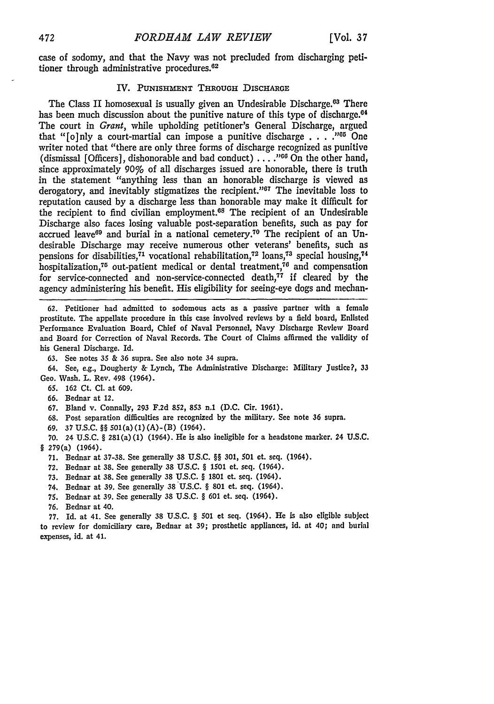case of sodomy, and that the Navy was not precluded from discharging petitioner through administrative procedures.<sup>62</sup>

### **IV. PUNISHMENT** THROUGH DISCHARGE

The Class II homosexual is usually given an Undesirable Discharge.<sup>68</sup> There has been much discussion about the punitive nature of this type of discharge.<sup> $04$ </sup> The court in *Grant,* while upholding petitioner's General Discharge, argued that "[o]nly a court-martial can impose a punitive discharge . **. . ."0** One writer noted that "there are only three forms of discharge recognized as punitive (dismissal [Officers], dishonorable and bad conduct) ... **."GO** On the other hand, since approximately *90%* of all discharges issued are honorable, there is truth in the statement "anything less than an honorable discharge is viewed as derogatory, and inevitably stigmatizes the recipient." $67$  The inevitable loss to reputation caused by a discharge less than honorable may make it difficult for the recipient to find civilian employment.68 The recipient of an Undesirable Discharge also faces losing valuable post-separation benefits, such as pay for accrued leave<sup>69</sup> and burial in a national cemetery.<sup>70</sup> The recipient of an Undesirable Discharge may receive numerous other veterans' benefits, such as pensions for disabilities,<sup>71</sup> vocational rehabilitation,<sup>72</sup> loans,<sup>73</sup> special housing,<sup>74</sup> hospitalization,<sup>75</sup> out-patient medical or dental treatment,<sup>76</sup> and compensation for service-connected and non-service-connected death, $77$  if cleared by the agency administering his benefit. His eligibility for seeing-eye dogs and mechan-

**62.** Petitioner had admitted to sodomous acts as a passive partner with a **female** prostitute. The appellate procedure in this case involved reviews by a field board, Enlisted Performance Evaluation Board, Chief of Naval Personnel, Navy Discharge Review Board and Board for Correction of Naval Records. The Court of Claims affirmed the validity of his General Discharge. Id.

63. See notes 35 & 36 supra. See also note 34 supra.

64. See, e.g., Dougherty & Lynch, The Administrative Discharge: Military Justice?, **33** Geo. Wash. L. Rev. 498 (1964).

- 65. **162** Ct. CI. at 609.
- 66. Bednar at 12.
- 67. Bland v. Connally, **293** F.2d **852, 853** n.1 **(D.C.** Cir. 1961).
- 68. Post separation difficulties are recognized **by** the military. See note 36 supra.
- 69. **37** U.S.C. §§ 501(a) (1) (A)-(B) (1964).

**70.** 24 U.S.C. § 281(a) **(1)** (1964). He is also ineligible for a headstone marker. 24 **U.S.C.** § 279(a) (1964).

- **71.** Bednar at **37-38.** See generally **38** U.S.C. §§ **301, 501** et. seq. (1964).
- **72.** Bednar at 38. See generally **38** U.S.C. § 1501 et. seq. (1964).
- **73.** Bednar at **38.** See generally 38 U.S.C. § 1801 et. seq. (1964).
- 74. Bednar at **39.** See generally **38** U.S.C. § **801** et. seq. (1964).
- **75.** Bednar at **39.** See generally **38** U.S.C. § 601 et. seq. (1964).
- **76.** Bednar at 40.

**77. Id.** at 41. See generally 38 **U.S.C.** § **501** et seq. (1964). He is also eligible subject to review for domiciliary care, Bednar at **39;** prosthetic appliances, id. at 40; and burial expenses, id. at 41.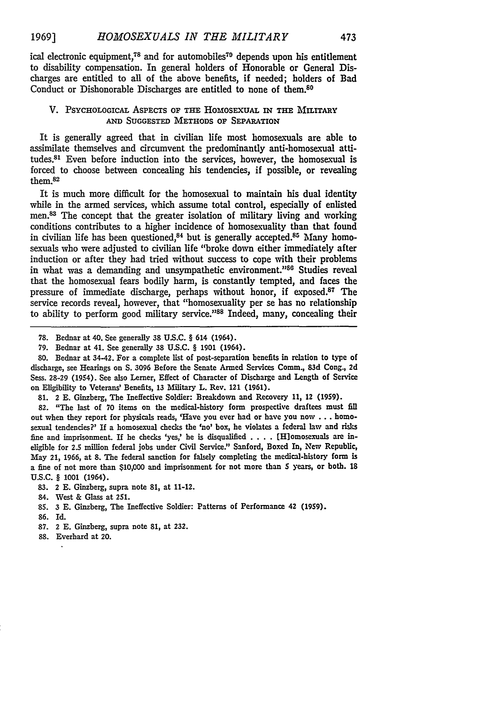ical electronic equipment,<sup>78</sup> and for automobiles<sup>70</sup> depends upon his entitlement to disability compensation. In general holders of Honorable or General Discharges are entitled to all of the above benefits, if needed; holders of Bad Conduct or Dishonorable Discharges are entitled to none of them.<sup>80</sup>

#### V. PSYCHOLOGICAL ASPECTS OF THE HoMosExuAL IN **THE** MILITARY **AND SUGGESTED METHODS OF** SEPARATION

It is generally agreed that in civilian life most homosexuals are able to assimilate themselves and circumvent the predominantly anti-homosexual attitudes.<sup>81</sup> Even before induction into the services, however, the homosexual is forced to choose between concealing his tendencies, if possible, or revealing them. $82$ 

It is much more difficult for the homosexual to maintain his dual identity while in the armed services, which assume total control, especially of enlisted men.<sup>83</sup> The concept that the greater isolation of military living and working conditions contributes to a higher incidence of homosexuality than that found in civilian life has been questioned,<sup>84</sup> but is generally accepted.<sup>85</sup> Many homosexuals who were adjusted to civilian life "broke down either immediately after induction or after they had tried without success to cope with their problems in what was a demanding and unsympathetic environment."<sup>86</sup> Studies reveal that the homosexual fears bodily harm, is constantly tempted, and faces the pressure of immediate discharge, perhaps without honor, if exposed.<sup>87</sup> The service records reveal, however, that "homosexuality per se has no relationship to ability to perform good military service."88 Indeed, many, concealing their

82. "The last of 70 items on the medical-history form prospective draftees must fill out when they report for physicals reads, 'Have you ever had or have you now . . . homosexual tendencies?' If a homosexual checks the 'no' box, he violates a federal law and risks fine and imprisonment. If he checks 'yes,' he is disqualified. . . [Hlomosexuals are ineligible for 2.5 million federal jobs under Civil Service." Sanford, Boxed In, New Republic, May 21, 1966, at 8. The federal sanction for falsely completing the medical-history farm is a fine of not more than \$10,000 and imprisonment for not more than 5 years, or both. **18 U.S.C.** § 1001 (1964).

- 83. 2 E. Ginzberg, supra note 81, at 11-12.
- 84. West & Glass at 251.
- 85. 3 E. Ginzberg, The Ineffective Soldier: Patterns of Performance 42 (19S9).
- 86. Id.
- 87. 2 E. Ginzberg, supra note 81, at 232.
- 88. Everhard at 20.

<sup>78.</sup> Bednar at 40. See generally 38 U.S.C. § 614 (1964).

**<sup>79.</sup>** Bednar at 41. See generally 38 U.S.C. § 1901 (1964).

**<sup>80.</sup>** Bednar at 34-42. For a complete list of post-separation benefits in relation to type of discharge, see Hearings on **S.** 3096 Before the Senate Armed Services Comm, 83d Cong., **2d** Sess. 28-29 (1954). See also Lemer, Effect of Character of Discharge and Length of Service on Eligibility to Veterans' Benefits, 13 Military L. Rev. 121 **(1961).**

**<sup>81.</sup>** 2 **E.** Ginzberg, The Ineffective Soldier: Breakdown and Recovery **11,** 12 (1959).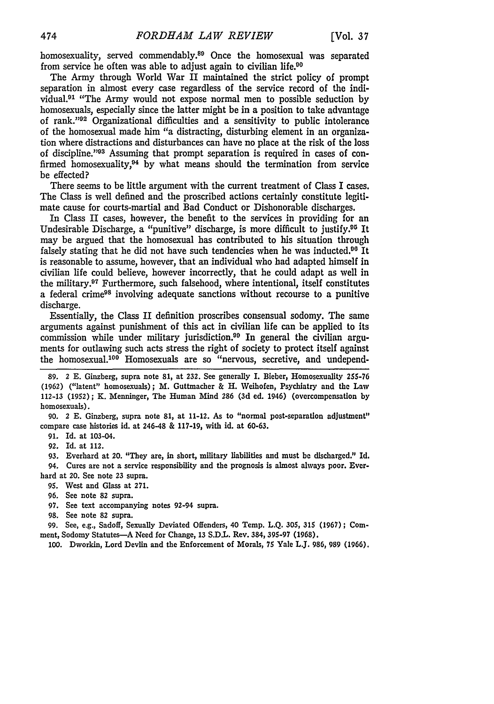homosexuality, served commendably.<sup>89</sup> Once the homosexual was separated from service he often was able to adjust again to civilian life.90

The Army through World War II maintained the strict policy of prompt separation in almost every case regardless of the service record of the individual.91 "The Army would not expose normal men to possible seduction by homosexuals, especially since the latter might be in a position to take advantage of rank."<sup>92</sup> Organizational difficulties and a sensitivity to public intolerance of the homosexual made him "a distracting, disturbing element in an organization where distractions and disturbances can have no place at the risk of the loss of discipline."<sup>93</sup> Assuming that prompt separation is required in cases of confirmed homosexuality, $94$  by what means should the termination from service be effected?

There seems to be little argument with the current treatment of Class **I** cases. The Class is well defined and the proscribed actions certainly constitute legitimate cause for courts-martial and Bad Conduct or Dishonorable discharges.

In Class II cases, however, the benefit to the services in providing for an Undesirable Discharge, a "punitive" discharge, is more difficult to justify.05 It may be argued that the homosexual has contributed to his situation through falsely stating that he did not have such tendencies when he was inducted.<sup>90</sup> It is reasonable to assume, however, that an individual who had adapted himself in civilian life could believe, however incorrectly, that he could adapt as well in the military.97 Furthermore, such falsehood, where intentional, itself constitutes a federal crime9s involving adequate sanctions without recourse to a punitive discharge.

Essentially, the Class II definition proscribes consensual sodomy. The same arguments against punishment of this act in civilian life can be applied to its commission while under military jurisdiction.<sup>90</sup> In general the civilian arguments for outlawing such acts stress the right of society to protect itself against the homosexual.<sup>100</sup> Homosexuals are so "nervous, secretive, and undepend-

90. 2 **E.** Ginzberg, supra note **81,** at 11-12. As to "normal post-separation adjustment" compare case histories id. at 246-48 & **117-19,** with id. at 60-63.

91. Id. at 103-04.

92. Id. at 112.

93. Everhard at 20. "They are, in short, military liabilities and must be discharged." Id.

94. Cures are not a service responsibility and the prognosis is almost always poor. Everhard at 20. See note 23 supra.

- **95.** West and Glass at **271.**
- **96.** See note 82 supra.

**97.** See text accompanying notes 92-94 supra.

**98.** See note **82** supra.

99. See, e.g., Sadoff, Sexually Deviated Offenders, 40 Temp. L.Q. **305, 315 (1967);** Comment, Sodomy Statutes-A Need for Change, **13** S.D.L. Rev. 384, 395-97 **(1968).**

100. Dworkin, Lord Devlin and the Enforcement of Morals, 75 Yale L.J. 986, 989 (1966).

**<sup>89.</sup>** 2 **E.** Ginzberg, supra note 81, at 232. See generally I. Bieber, Homosexuality **255-76** (1962) ("latent" homosexuals); M. Guttmacher & H. Weihofen, Psychiatry and the Law 112-13 (1952); K. Menninger, The Human Mind **286** (3d ed. 1946) (overcompensation by homosexuals).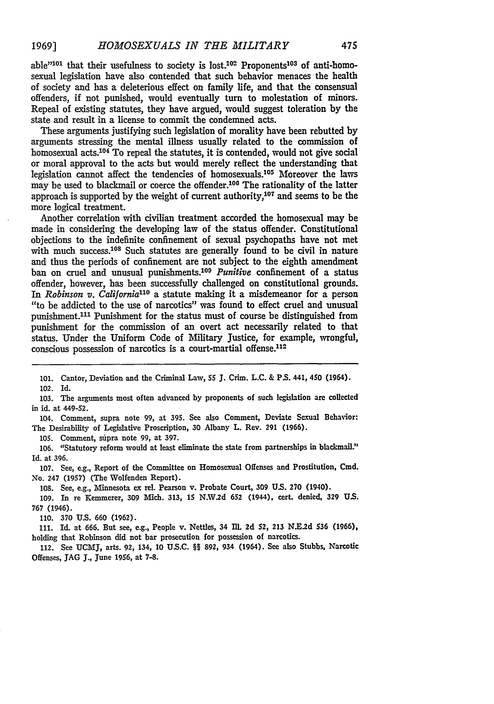able<sup>"101</sup> that their usefulness to society is lost.<sup>102</sup> Proponents<sup>103</sup> of anti-homosexual legislation have also contended that such behavior menaces the health of society and has a deleterious effect on family life, and that the consensual offenders, if not punished, would eventually turn to molestation of minors. Repeal of existing statutes, they have argued, would suggest toleration by the state and result in a license to commit the condemned acts.

These arguments justifying such legislation of morality have been rebutted by arguments stressing the mental illness usually related to the commission of homosexual acts.<sup>104</sup> To repeal the statutes, it is contended, would not give social or moral approval to the acts but would merely reflect the understanding that legislation cannot affect the tendencies of homosexuals.<sup>105</sup> Moreover the laws may be used to blackmail or coerce the offender.<sup>106</sup> The rationality of the latter approach is supported by the weight of current authority, $107$  and seems to be the more logical treatment.

Another correlation with civilian treatment accorded the homosexual may be made in considering the developing law of the status offender. Constitutional objections to the indefinite confinement of sexual psychopaths have not met with much success.<sup>108</sup> Such statutes are generally found to be civil in nature and thus the periods of confinement are not subject to the eighth amendment ban on cruel and unusual punishments.<sup>109</sup> Punitive confinement of a status offender, however, has been successfully challenged on constitutional grounds. *In Robinson v. California'"* a statute making it a misdemeanor for a person *"to* be addicted to the use of narcotics" was found to effect cruel and unusual punishment.<sup>111</sup> Punishment for the status must of course be distinguished from punishment for the commission of an overt act necessarily related to that status. Under the Uniform Code of Military Justice, for example, wrongful, conscious possession of narcotics is a court-martial offense.<sup>112</sup>

101. Cantor, Deviation and the Criminal Law, **55 J.** Crim. **L.C.** & P.S. 441, *450* (1964).

102. Id.

103. The arguments most often advanced by proponents of such legislation are collected in id. at 449-52.

104. Comment, supra note 99, at **395.** See also Comment, Deviate Sexual Behavior: The Desirability of Legislative Proscription, 30 Albany L. Rev. **291 (1966).**

105. Comment, supra note **99,** at 397.

106. "Statutory reform would at least eliminate the state from partnerships in blackmail.' Id. at 396.

107. See, e.g., Report of the Committee on Homosexual Offenses and Prostitution, Cmd. No. 247 (1957) (The Wolfenden Report).

108. See, e.g., Minnesota ex rel. Pearson v. Probate Court, **309 U.S.** 270 (1940).

109. In re Kemmerer, 309 Mich. 313, 15 N.W.2d **652** (1944), cert. denied, **329 U.S.** 767 (1946).

**110.** 370 U.S. 660 (1962).

**111.** Id. at 666. But see, e.g., People v. Nettles, 34 IlL 2d *52,* **213** NE.2d **536** (1966), holding that Robinson did not bar prosecution for possession of narcotics.

112. See UCMIJ, arts. 92, 134, **10** U.S.C. §§ 892, 934 (1954). See also Stubbs, Narcotic Offenses, **JAG J.,** June 1956, at 7-8.